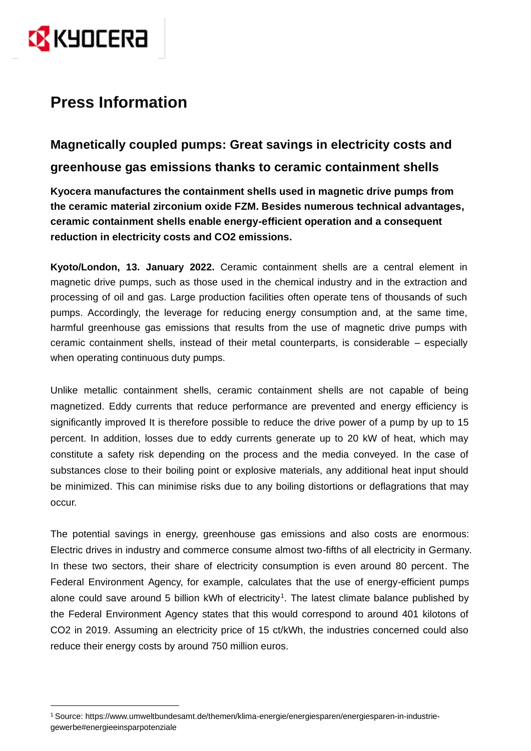

# **Press Information**

**Magnetically coupled pumps: Great savings in electricity costs and greenhouse gas emissions thanks to ceramic containment shells**

**Kyocera manufactures the containment shells used in magnetic drive pumps from the ceramic material zirconium oxide FZM. Besides numerous technical advantages, ceramic containment shells enable energy-efficient operation and a consequent reduction in electricity costs and CO2 emissions.**

**Kyoto/London, 13. January 2022.** Ceramic containment shells are a central element in magnetic drive pumps, such as those used in the chemical industry and in the extraction and processing of oil and gas. Large production facilities often operate tens of thousands of such pumps. Accordingly, the leverage for reducing energy consumption and, at the same time, harmful greenhouse gas emissions that results from the use of magnetic drive pumps with ceramic containment shells, instead of their metal counterparts, is considerable – especially when operating continuous duty pumps.

Unlike metallic containment shells, ceramic containment shells are not capable of being magnetized. Eddy currents that reduce performance are prevented and energy efficiency is significantly improved It is therefore possible to reduce the drive power of a pump by up to 15 percent. In addition, losses due to eddy currents generate up to 20 kW of heat, which may constitute a safety risk depending on the process and the media conveyed. In the case of substances close to their boiling point or explosive materials, any additional heat input should be minimized. This can minimise risks due to any boiling distortions or deflagrations that may occur.

The potential savings in energy, greenhouse gas emissions and also costs are enormous: Electric drives in industry and commerce consume almost two-fifths of all electricity in Germany. In these two sectors, their share of electricity consumption is even around 80 percent. The Federal Environment Agency, for example, calculates that the use of energy-efficient pumps alone could save around 5 billion kWh of electricity<sup>1</sup>. The latest climate balance published by the Federal Environment Agency states that this would correspond to around 401 kilotons of CO2 in 2019. Assuming an electricity price of 15 ct/kWh, the industries concerned could also reduce their energy costs by around 750 million euros.

<sup>1</sup> Source: https://www.umweltbundesamt.de/themen/klima-energie/energiesparen/energiesparen-in-industriegewerbe#energieeinsparpotenziale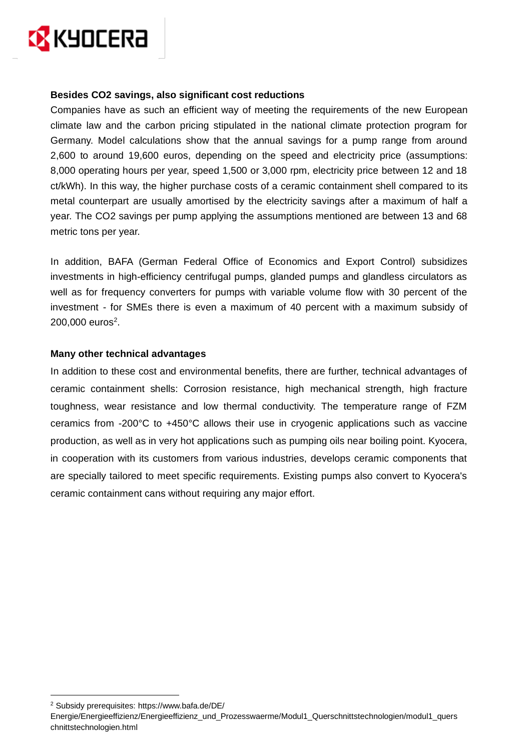

#### **Besides CO2 savings, also significant cost reductions**

Companies have as such an efficient way of meeting the requirements of the new European climate law and the carbon pricing stipulated in the national climate protection program for Germany. Model calculations show that the annual savings for a pump range from around 2,600 to around 19,600 euros, depending on the speed and electricity price (assumptions: 8,000 operating hours per year, speed 1,500 or 3,000 rpm, electricity price between 12 and 18 ct/kWh). In this way, the higher purchase costs of a ceramic containment shell compared to its metal counterpart are usually amortised by the electricity savings after a maximum of half a year. The CO2 savings per pump applying the assumptions mentioned are between 13 and 68 metric tons per year.

In addition, BAFA (German Federal Office of Economics and Export Control) subsidizes investments in high-efficiency centrifugal pumps, glanded pumps and glandless circulators as well as for frequency converters for pumps with variable volume flow with 30 percent of the investment - for SMEs there is even a maximum of 40 percent with a maximum subsidy of  $200,000$  euros<sup>2</sup>.

#### **Many other technical advantages**

In addition to these cost and environmental benefits, there are further, technical advantages of ceramic containment shells: Corrosion resistance, high mechanical strength, high fracture toughness, wear resistance and low thermal conductivity. The temperature range of FZM ceramics from -200°C to +450°C allows their use in cryogenic applications such as vaccine production, as well as in very hot applications such as pumping oils near boiling point. Kyocera, in cooperation with its customers from various industries, develops ceramic components that are specially tailored to meet specific requirements. Existing pumps also convert to Kyocera's ceramic containment cans without requiring any major effort.

<sup>2</sup> Subsidy prerequisites: https://www.bafa.de/DE/

Energie/Energieeffizienz/Energieeffizienz\_und\_Prozesswaerme/Modul1\_Querschnittstechnologien/modul1\_quers chnittstechnologien.html